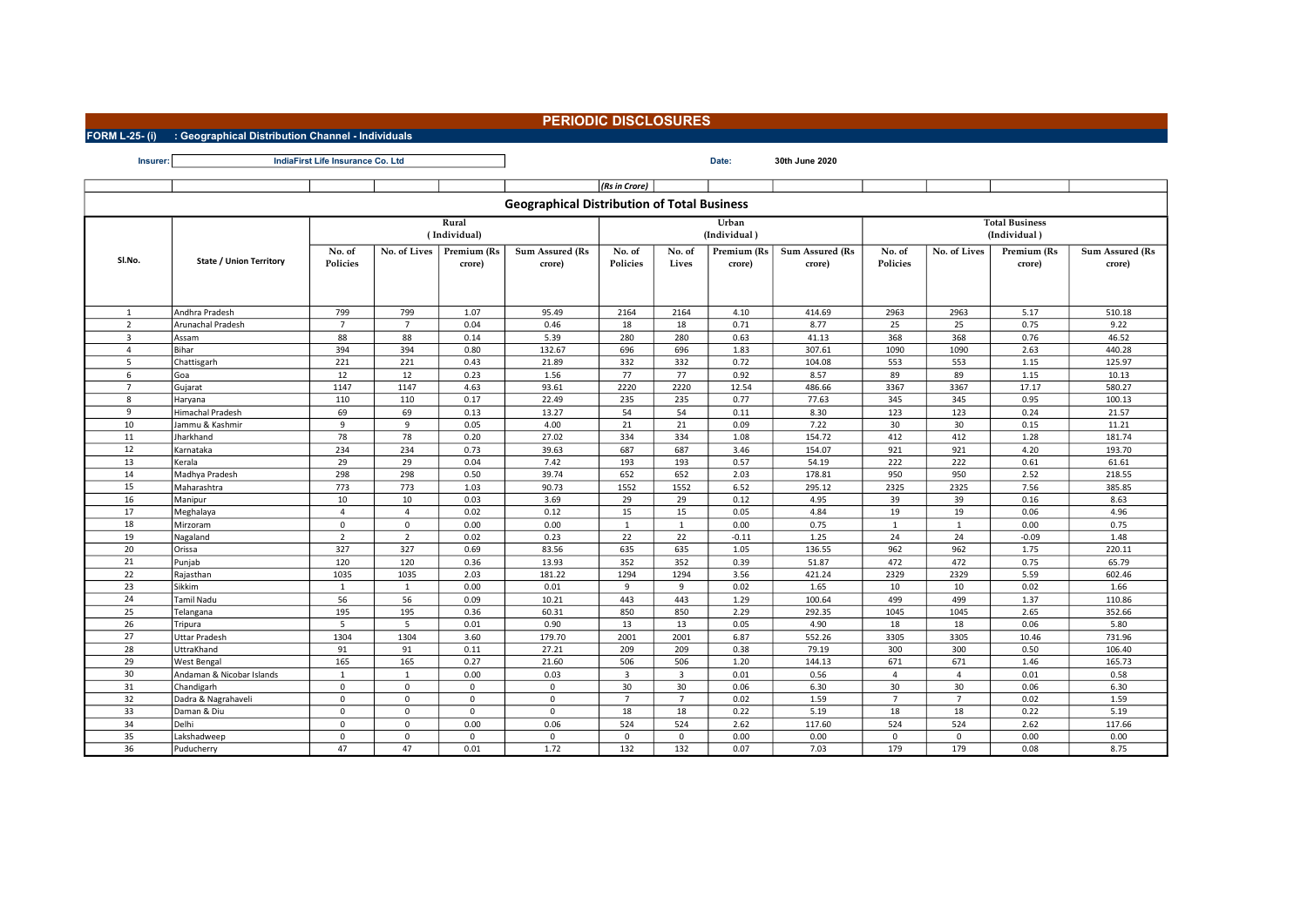## PERIODIC DISCLOSURES

FORM L-25- (i) : Geographical Distribution Channel - Individuals

| Insurer:       | IndiaFirst Life Insurance Co. Ltd |                    |                |                       | Date:                                              | 30th June 2020          |                         |             |                           |                    |                                       |                       |                           |  |  |
|----------------|-----------------------------------|--------------------|----------------|-----------------------|----------------------------------------------------|-------------------------|-------------------------|-------------|---------------------------|--------------------|---------------------------------------|-----------------------|---------------------------|--|--|
|                |                                   |                    |                |                       |                                                    | (Rs in Crore)           |                         |             |                           |                    |                                       |                       |                           |  |  |
|                |                                   |                    |                |                       |                                                    |                         |                         |             |                           |                    |                                       |                       |                           |  |  |
|                |                                   |                    |                |                       | <b>Geographical Distribution of Total Business</b> |                         |                         |             |                           |                    |                                       |                       |                           |  |  |
|                |                                   |                    |                | Rural<br>(Individual) | Urban<br>(Individual)                              |                         |                         |             |                           |                    | <b>Total Business</b><br>(Individual) |                       |                           |  |  |
|                |                                   |                    |                | Premium (Rs           |                                                    |                         |                         | Premium (Rs |                           |                    |                                       |                       |                           |  |  |
| Sl.No.         | <b>State / Union Territory</b>    | No. of<br>Policies | No. of Lives   | crore)                | Sum Assured (Rs<br>crore)                          | No. of<br>Policies      | No. of<br>Lives         | crore)      | Sum Assured (Rs<br>crore) | No. of<br>Policies | No. of Lives                          | Premium (Rs<br>crore) | Sum Assured (Rs<br>crore) |  |  |
| 1              | Andhra Pradesh                    | 799                | 799            | 1.07                  | 95.49                                              | 2164                    | 2164                    | 4.10        | 414.69                    | 2963               | 2963                                  | 5.17                  | 510.18                    |  |  |
| 2              | Arunachal Pradesh                 | $\overline{7}$     | $\overline{7}$ | 0.04                  | 0.46                                               | 18                      | 18                      | 0.71        | 8.77                      | 25                 | 25                                    | 0.75                  | 9.22                      |  |  |
| 3              | Assam                             | 88                 | 88             | 0.14                  | 5.39                                               | 280                     | 280                     | 0.63        | 41.13                     | 368                | 368                                   | 0.76                  | 46.52                     |  |  |
| $\overline{a}$ | Bihar                             | 394                | 394            | 0.80                  | 132.67                                             | 696                     | 696                     | 1.83        | 307.61                    | 1090               | 1090                                  | 2.63                  | 440.28                    |  |  |
| -5             | Chattisgarh                       | 221                | 221            | 0.43                  | 21.89                                              | 332                     | 332                     | 0.72        | 104.08                    | 553                | 553                                   | 1.15                  | 125.97                    |  |  |
| 6              | Goa                               | 12                 | 12             | 0.23                  | 1.56                                               | 77                      | 77                      | 0.92        | 8.57                      | 89                 | 89                                    | 1.15                  | 10.13                     |  |  |
| $\overline{7}$ | Gujarat                           | 1147               | 1147           | 4.63                  | 93.61                                              | 2220                    | 2220                    | 12.54       | 486.66                    | 3367               | 3367                                  | 17.17                 | 580.27                    |  |  |
| 8              | Haryana                           | 110                | 110            | 0.17                  | 22.49                                              | 235                     | 235                     | 0.77        | 77.63                     | 345                | 345                                   | 0.95                  | 100.13                    |  |  |
| $\mathbf{q}$   | Himachal Pradesh                  | 69                 | 69             | 0.13                  | 13.27                                              | 54                      | 54                      | 0.11        | 8.30                      | 123                | 123                                   | 0.24                  | 21.57                     |  |  |
| 10             | Jammu & Kashmir                   | 9                  | 9              | 0.05                  | 4.00                                               | 21                      | 21                      | 0.09        | 7.22                      | 30                 | 30                                    | 0.15                  | 11.21                     |  |  |
| 11             | Jharkhand                         | 78                 | 78             | 0.20                  | 27.02                                              | 334                     | 334                     | 1.08        | 154.72                    | 412                | 412                                   | 1.28                  | 181.74                    |  |  |
| 12             | Karnataka                         | 234                | 234            | 0.73                  | 39.63                                              | 687                     | 687                     | 3.46        | 154.07                    | 921                | 921                                   | 4.20                  | 193.70                    |  |  |
| 13             | Kerala                            | 29                 | 29             | 0.04                  | 7.42                                               | 193                     | 193                     | 0.57        | 54.19                     | 222                | 222                                   | 0.61                  | 61.61                     |  |  |
| 14             | Madhya Pradesh                    | 298                | 298            | 0.50                  | 39.74                                              | 652                     | 652                     | 2.03        | 178.81                    | 950                | 950                                   | 2.52                  | 218.55                    |  |  |
| 15             | Maharashtra                       | 773                | 773            | 1.03                  | 90.73                                              | 1552                    | 1552                    | 6.52        | 295.12                    | 2325               | 2325                                  | 7.56                  | 385.85                    |  |  |
| 16             | Manipur                           | 10                 | 10             | 0.03                  | 3.69                                               | 29                      | 29                      | 0.12        | 4.95                      | 39                 | 39                                    | 0.16                  | 8.63                      |  |  |
| 17             | Meghalaya                         | $\overline{4}$     | $\overline{4}$ | 0.02                  | 0.12                                               | 15                      | 15                      | 0.05        | 4.84                      | 19                 | 19                                    | 0.06                  | 4.96                      |  |  |
| 18             | Mirzoram                          | $\mathbf{0}$       | $\mathbf 0$    | 0.00                  | 0.00                                               | $\mathbf{1}$            | $\mathbf{1}$            | 0.00        | 0.75                      | $\mathbf{1}$       | 1                                     | 0.00                  | 0.75                      |  |  |
| 19             | Nagaland                          | $\overline{2}$     | $\overline{2}$ | 0.02                  | 0.23                                               | 22                      | 22                      | $-0.11$     | 1.25                      | 24                 | 24                                    | $-0.09$               | 1.48                      |  |  |
| 20             | Orissa                            | 327                | 327            | 0.69                  | 83.56                                              | 635                     | 635                     | 1.05        | 136.55                    | 962                | 962                                   | 1.75                  | 220.11                    |  |  |
| 21             | Punjab                            | 120                | 120            | 0.36                  | 13.93                                              | 352                     | 352                     | 0.39        | 51.87                     | 472                | 472                                   | 0.75                  | 65.79                     |  |  |
| 22             | Rajasthan                         | 1035               | 1035           | 2.03                  | 181.22                                             | 1294                    | 1294                    | 3.56        | 421.24                    | 2329               | 2329                                  | 5.59                  | 602.46                    |  |  |
| 23             | Sikkim                            | 1                  | 1              | 0.00                  | 0.01                                               | 9                       | 9                       | 0.02        | 1.65                      | 10                 | 10                                    | 0.02                  | 1.66                      |  |  |
| 24             | <b>Tamil Nadu</b>                 | 56                 | 56             | 0.09                  | 10.21                                              | 443                     | 443                     | 1.29        | 100.64                    | 499                | 499                                   | 1.37                  | 110.86                    |  |  |
| 25             | Telangana                         | 195                | 195            | 0.36                  | 60.31                                              | 850                     | 850                     | 2.29        | 292.35                    | 1045               | 1045                                  | 2.65                  | 352.66                    |  |  |
| 26             | Tripura                           | 5                  | 5              | 0.01                  | 0.90                                               | 13                      | 13                      | 0.05        | 4.90                      | 18                 | 18                                    | 0.06                  | 5.80                      |  |  |
| 27             | <b>Uttar Pradesh</b>              | 1304               | 1304           | 3.60                  | 179.70                                             | 2001                    | 2001                    | 6.87        | 552.26                    | 3305               | 3305                                  | 10.46                 | 731.96                    |  |  |
| 28             | UttraKhand                        | 91                 | 91             | 0.11                  | 27.21                                              | 209                     | 209                     | 0.38        | 79.19                     | 300                | 300                                   | 0.50                  | 106.40                    |  |  |
| 29             | <b>West Bengal</b>                | 165                | 165            | 0.27                  | 21.60                                              | 506                     | 506                     | 1.20        | 144.13                    | 671                | 671                                   | 1.46                  | 165.73                    |  |  |
| 30             | Andaman & Nicobar Islands         | 1                  | 1              | 0.00                  | 0.03                                               | $\overline{\mathbf{3}}$ | $\overline{\mathbf{3}}$ | 0.01        | 0.56                      | $\overline{a}$     | $\overline{4}$                        | 0.01                  | 0.58                      |  |  |
| 31             | Chandigarh                        | 0                  | $\mathsf{o}$   | $\mathbf 0$           | $\mathbf 0$                                        | 30                      | 30                      | 0.06        | 6.30                      | 30                 | 30                                    | 0.06                  | 6.30                      |  |  |
| 32             | Dadra & Nagrahaveli               | $\mathbf{0}$       | $\mathbf 0$    | $\Omega$              | $\mathbf 0$                                        | $\overline{7}$          | $\overline{7}$          | 0.02        | 1.59                      | $\overline{7}$     | $\overline{7}$                        | 0.02                  | 1.59                      |  |  |
| 33             | Daman & Diu                       | 0                  | $\mathbf 0$    | $\mathbf{0}$          | $\mathbf 0$                                        | 18                      | 18                      | 0.22        | 5.19                      | 18                 | 18                                    | 0.22                  | 5.19                      |  |  |
| 34             | Delhi                             | 0                  | $\mathsf 0$    | 0.00                  | 0.06                                               | 524                     | 524                     | 2.62        | 117.60                    | 524                | 524                                   | 2.62                  | 117.66                    |  |  |
| 35             | Lakshadweep                       | $\mathbf{0}$       | $\mathbf 0$    | $\Omega$              | $\mathbf 0$                                        | $\Omega$                | $\mathbf{0}$            | 0.00        | 0.00                      | $\Omega$           | 0                                     | 0.00                  | 0.00                      |  |  |
| 36             | Puducherry                        | 47                 | 47             | 0.01                  | 1.72                                               | 132                     | 132                     | 0.07        | 7.03                      | 179                | 179                                   | 0.08                  | 8.75                      |  |  |